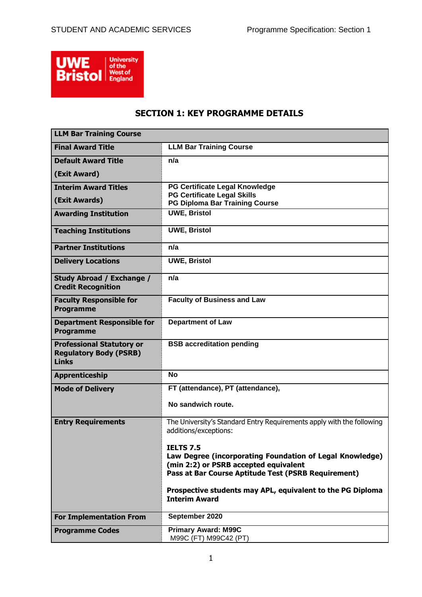

# **SECTION 1: KEY PROGRAMME DETAILS**

| <b>LLM Bar Training Course</b>                                                    |                                                                                                                                                                             |
|-----------------------------------------------------------------------------------|-----------------------------------------------------------------------------------------------------------------------------------------------------------------------------|
| <b>Final Award Title</b>                                                          | <b>LLM Bar Training Course</b>                                                                                                                                              |
| <b>Default Award Title</b>                                                        | n/a                                                                                                                                                                         |
| (Exit Award)                                                                      |                                                                                                                                                                             |
| <b>Interim Award Titles</b>                                                       | PG Certificate Legal Knowledge<br><b>PG Certificate Legal Skills</b>                                                                                                        |
| (Exit Awards)                                                                     | <b>PG Diploma Bar Training Course</b>                                                                                                                                       |
| <b>Awarding Institution</b>                                                       | <b>UWE, Bristol</b>                                                                                                                                                         |
| <b>Teaching Institutions</b>                                                      | <b>UWE, Bristol</b>                                                                                                                                                         |
| <b>Partner Institutions</b>                                                       | n/a                                                                                                                                                                         |
| <b>Delivery Locations</b>                                                         | <b>UWE, Bristol</b>                                                                                                                                                         |
| Study Abroad / Exchange /<br><b>Credit Recognition</b>                            | n/a                                                                                                                                                                         |
| <b>Faculty Responsible for</b><br><b>Programme</b>                                | <b>Faculty of Business and Law</b>                                                                                                                                          |
| <b>Department Responsible for</b><br><b>Programme</b>                             | <b>Department of Law</b>                                                                                                                                                    |
| <b>Professional Statutory or</b><br><b>Regulatory Body (PSRB)</b><br><b>Links</b> | <b>BSB accreditation pending</b>                                                                                                                                            |
| Apprenticeship                                                                    | <b>No</b>                                                                                                                                                                   |
| <b>Mode of Delivery</b>                                                           | FT (attendance), PT (attendance),                                                                                                                                           |
|                                                                                   | No sandwich route.                                                                                                                                                          |
| <b>Entry Requirements</b>                                                         | The University's Standard Entry Requirements apply with the following<br>additions/exceptions:                                                                              |
|                                                                                   | <b>TFITS 75</b><br>Law Degree (incorporating Foundation of Legal Knowledge)<br>(min 2:2) or PSRB accepted equivalent<br>Pass at Bar Course Aptitude Test (PSRB Requirement) |
|                                                                                   | Prospective students may APL, equivalent to the PG Diploma<br><b>Interim Award</b>                                                                                          |
| <b>For Implementation From</b>                                                    | September 2020                                                                                                                                                              |
| <b>Programme Codes</b>                                                            | <b>Primary Award: M99C</b><br>M99C (FT) M99C42 (PT)                                                                                                                         |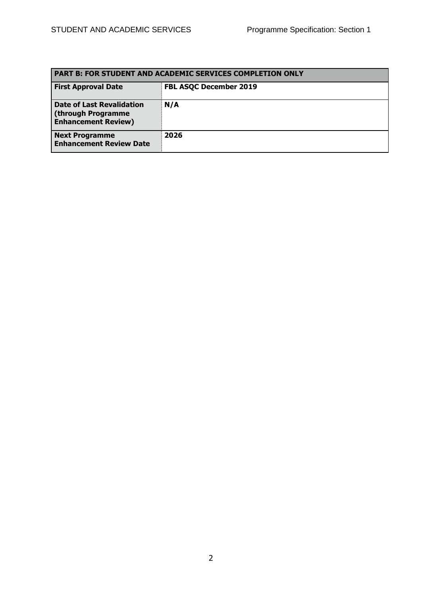| <b>PART B: FOR STUDENT AND ACADEMIC SERVICES COMPLETION ONLY</b>                     |                               |  |  |  |  |  |
|--------------------------------------------------------------------------------------|-------------------------------|--|--|--|--|--|
| <b>First Approval Date</b>                                                           | <b>FBL ASQC December 2019</b> |  |  |  |  |  |
| <b>Date of Last Revalidation</b><br>(through Programme<br><b>Enhancement Review)</b> | N/A                           |  |  |  |  |  |
| <b>Next Programme</b><br><b>Enhancement Review Date</b>                              | 2026                          |  |  |  |  |  |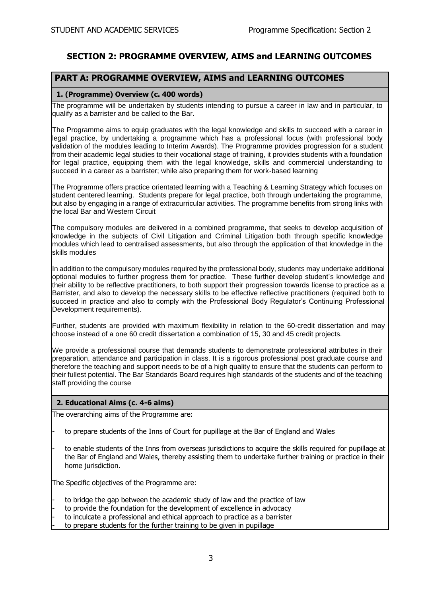# **SECTION 2: PROGRAMME OVERVIEW, AIMS and LEARNING OUTCOMES**

## **PART A: PROGRAMME OVERVIEW, AIMS and LEARNING OUTCOMES**

### **1. (Programme) Overview (c. 400 words)**

The programme will be undertaken by students intending to pursue a career in law and in particular, to qualify as a barrister and be called to the Bar.

The Programme aims to equip graduates with the legal knowledge and skills to succeed with a career in legal practice, by undertaking a programme which has a professional focus (with professional body validation of the modules leading to Interim Awards). The Programme provides progression for a student from their academic legal studies to their vocational stage of training, it provides students with a foundation for legal practice, equipping them with the legal knowledge, skills and commercial understanding to succeed in a career as a barrister; while also preparing them for work-based learning

The Programme offers practice orientated learning with a Teaching & Learning Strategy which focuses on student centered learning. Students prepare for legal practice, both through undertaking the programme, but also by engaging in a range of extracurricular activities. The programme benefits from strong links with the local Bar and Western Circuit

The compulsory modules are delivered in a combined programme, that seeks to develop acquisition of knowledge in the subjects of Civil Litigation and Criminal Litigation both through specific knowledge modules which lead to centralised assessments, but also through the application of that knowledge in the skills modules

In addition to the compulsory modules required by the professional body, students may undertake additional optional modules to further progress them for practice. These further develop student's knowledge and their ability to be reflective practitioners, to both support their progression towards license to practice as a Barrister, and also to develop the necessary skills to be effective reflective practitioners (required both to succeed in practice and also to comply with the Professional Body Regulator's Continuing Professional Development requirements).

Further, students are provided with maximum flexibility in relation to the 60-credit dissertation and may choose instead of a one 60 credit dissertation a combination of 15, 30 and 45 credit projects.

We provide a professional course that demands students to demonstrate professional attributes in their preparation, attendance and participation in class. It is a rigorous professional post graduate course and therefore the teaching and support needs to be of a high quality to ensure that the students can perform to their fullest potential. The Bar Standards Board requires high standards of the students and of the teaching staff providing the course

#### **2. Educational Aims (c. 4-6 aims)**

The overarching aims of the Programme are:

- to prepare students of the Inns of Court for pupillage at the Bar of England and Wales
- to enable students of the Inns from overseas jurisdictions to acquire the skills required for pupillage at the Bar of England and Wales, thereby assisting them to undertake further training or practice in their home jurisdiction.

The Specific objectives of the Programme are:

- to bridge the gap between the academic study of law and the practice of law
- to provide the foundation for the development of excellence in advocacy
- to inculcate a professional and ethical approach to practice as a barrister
- to prepare students for the further training to be given in pupillage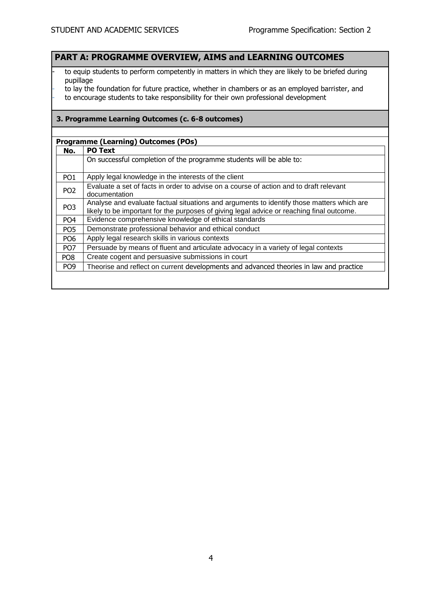# **PART A: PROGRAMME OVERVIEW, AIMS and LEARNING OUTCOMES**

- to equip students to perform competently in matters in which they are likely to be briefed during pupillage
- to lay the foundation for future practice, whether in chambers or as an employed barrister, and
- to encourage students to take responsibility for their own professional development

### **3. Programme Learning Outcomes (c. 6-8 outcomes)**

### **Programme (Learning) Outcomes (POs)**

| No.             | <b>PO Text</b>                                                                            |
|-----------------|-------------------------------------------------------------------------------------------|
|                 | On successful completion of the programme students will be able to:                       |
|                 |                                                                                           |
| PO <sub>1</sub> | Apply legal knowledge in the interests of the client                                      |
| PO <sub>2</sub> | Evaluate a set of facts in order to advise on a course of action and to draft relevant    |
|                 | documentation                                                                             |
| PO <sub>3</sub> | Analyse and evaluate factual situations and arguments to identify those matters which are |
|                 | likely to be important for the purposes of giving legal advice or reaching final outcome. |
| PO <sub>4</sub> | Evidence comprehensive knowledge of ethical standards                                     |
| PO <sub>5</sub> | Demonstrate professional behavior and ethical conduct                                     |
| PO <sub>6</sub> | Apply legal research skills in various contexts                                           |
| PO <sub>7</sub> | Persuade by means of fluent and articulate advocacy in a variety of legal contexts        |
| PO <sub>8</sub> | Create cogent and persuasive submissions in court                                         |
| PO <sub>9</sub> | Theorise and reflect on current developments and advanced theories in law and practice    |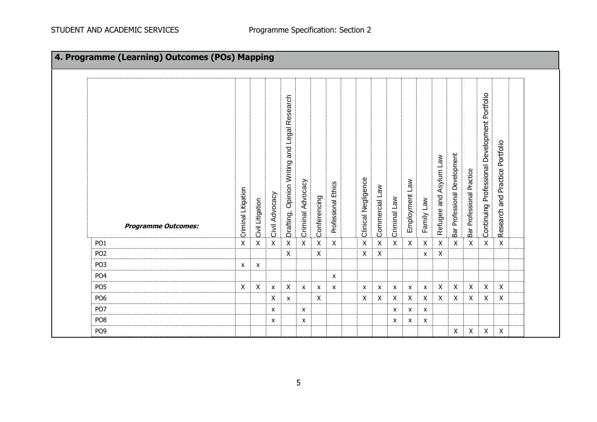| 4. Programme (Learning) Outcomes (POs) Mapping |                     |                           |                           |                                                           |                   |                           |                     |  |                     |                    |              |                           |                           |                        |                              |                           |                                               |                                 |  |
|------------------------------------------------|---------------------|---------------------------|---------------------------|-----------------------------------------------------------|-------------------|---------------------------|---------------------|--|---------------------|--------------------|--------------|---------------------------|---------------------------|------------------------|------------------------------|---------------------------|-----------------------------------------------|---------------------------------|--|
| <b>Programme Outcomes:</b>                     | Criminal Litigation | Civil Litigation          | Civil Advocacy            | and Legal Research<br><b>Opinion Writing</b><br>Drafting, | Criminal Advocacy | Conferencing              | Professional Ethics |  | Clinical Negligence | Commercial Law     | Criminal Law | Employment Law            | Family Law                | Refugee and Asylum Law | Bar Professional Development | Bar Professional Practice | Continuing Professional Development Portfolio | Research and Practice Portfolio |  |
| PO <sub>1</sub>                                | $\mathsf{X}$        | $\pmb{\mathsf{X}}$        | $\pmb{\times}$            | $\pmb{\times}$                                            | $\mathsf{X}$      | $\mathsf X$               | $\mathsf{X}$        |  | $\mathsf X$         | $\mathsf X$        | $\mathsf{X}$ | $\mathsf X$               | $\mathsf{X}$              | $\mathsf X$            | $\mathsf{X}$                 | $\pmb{\times}$            | $\pmb{\times}$                                | $\mathsf X$                     |  |
| PO <sub>2</sub>                                |                     |                           |                           | X                                                         |                   | $\pmb{\mathsf{X}}$        |                     |  | $\mathsf{X}$        | $\pmb{\mathsf{X}}$ |              |                           | $\boldsymbol{\mathsf{x}}$ | $\mathsf{X}$           |                              |                           |                                               |                                 |  |
| PO <sub>3</sub>                                | X                   | $\boldsymbol{\mathsf{x}}$ |                           |                                                           |                   |                           |                     |  |                     |                    |              |                           |                           |                        |                              |                           |                                               |                                 |  |
| PO <sub>4</sub>                                |                     |                           |                           |                                                           |                   |                           | $\mathsf{x}$        |  |                     |                    |              |                           |                           |                        |                              |                           |                                               |                                 |  |
| PO <sub>5</sub>                                | X                   | X                         | $\boldsymbol{\mathsf{x}}$ | X                                                         | $\mathsf{x}$      | $\boldsymbol{\mathsf{x}}$ | $\mathsf{x}$        |  | X                   | X                  | $\mathsf{x}$ | $\boldsymbol{\mathsf{x}}$ | $\mathsf{x}$              | X                      | X                            | $\mathsf{X}$              | $\mathsf{X}$                                  | $\mathsf{X}$                    |  |
| PO <sub>6</sub>                                |                     |                           | X                         | X                                                         |                   | X                         |                     |  | X                   | X                  | $\mathsf{X}$ | $\mathsf{X}$              | X                         | X                      | X                            | X                         | X                                             | $\mathsf{X}$                    |  |
| PO <sub>7</sub>                                |                     |                           | X                         |                                                           | X                 |                           |                     |  |                     |                    | X            | $\boldsymbol{\mathsf{x}}$ | $\boldsymbol{\mathsf{x}}$ |                        |                              |                           |                                               |                                 |  |
| PO <sub>8</sub>                                |                     |                           | X                         |                                                           | X                 |                           |                     |  |                     |                    | X            | $\boldsymbol{\mathsf{x}}$ | X                         |                        |                              |                           |                                               |                                 |  |
| PO <sub>9</sub>                                |                     |                           |                           |                                                           |                   |                           |                     |  |                     |                    |              |                           |                           |                        | X                            | X                         | X                                             | $\pmb{\mathsf{X}}$              |  |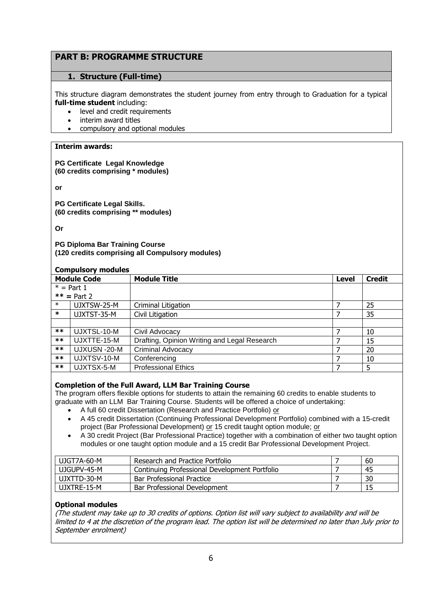# **PART B: PROGRAMME STRUCTURE**

## **1. Structure (Full-time)**

This structure diagram demonstrates the student journey from entry through to Graduation for a typical **full-time student** including:

- level and credit requirements
- interim award titles
- compulsory and optional modules

### **Interim awards:**

**PG Certificate Legal Knowledge (60 credits comprising \* modules)**

**or** 

**PG Certificate Legal Skills. (60 credits comprising \*\* modules)**

**Or**

**PG Diploma Bar Training Course (120 credits comprising all Compulsory modules)**

#### **Compulsory modules**

| <b>Module Code</b> |               | <b>Module Title</b>                          | <b>Level</b> | <b>Credit</b> |  |  |  |  |
|--------------------|---------------|----------------------------------------------|--------------|---------------|--|--|--|--|
| $* = Part 1$       |               |                                              |              |               |  |  |  |  |
|                    | $**$ = Part 2 |                                              |              |               |  |  |  |  |
| $\ast$             | UJXTSW-25-M   | Criminal Litigation                          |              | 25            |  |  |  |  |
| $\ast$             | UJXTST-35-M   | Civil Litigation                             |              | 35            |  |  |  |  |
|                    |               |                                              |              |               |  |  |  |  |
| $***$              | UJXTSL-10-M   | Civil Advocacy                               |              | 10            |  |  |  |  |
| $***$              | UJXTTE-15-M   | Drafting, Opinion Writing and Legal Research |              | 15            |  |  |  |  |
| $***$              | UJXUSN -20-M  | <b>Criminal Advocacy</b>                     |              | 20            |  |  |  |  |
| $***$              | UJXTSV-10-M   | Conferencing                                 |              | 10            |  |  |  |  |
| $***$              | UJXTSX-5-M    | <b>Professional Ethics</b>                   |              | 5             |  |  |  |  |

## **Completion of the Full Award, LLM Bar Training Course**

The program offers flexible options for students to attain the remaining 60 credits to enable students to graduate with an LLM Bar Training Course. Students will be offered a choice of undertaking:

- A full 60 credit Dissertation (Research and Practice Portfolio) or
- A 45 credit Dissertation (Continuing Professional Development Portfolio) combined with a 15-credit project (Bar Professional Development) or 15 credit taught option module; or
- A 30 credit Project (Bar Professional Practice) together with a combination of either two taught option modules or one taught option module and a 15 credit Bar Professional Development Project.

| UJGT7A-60-M | Research and Practice Portfolio               | 60 |
|-------------|-----------------------------------------------|----|
| UJGUPV-45-M | Continuing Professional Development Portfolio | 45 |
| UJXTTD-30-M | <b>Bar Professional Practice</b>              | 30 |
| UJXTRE-15-M | Bar Professional Development                  | 15 |

## **Optional modules**

(The student may take up to 30 credits of options. Option list will vary subject to availability and will be limited to 4 at the discretion of the program lead. The option list will be determined no later than July prior to September enrolment)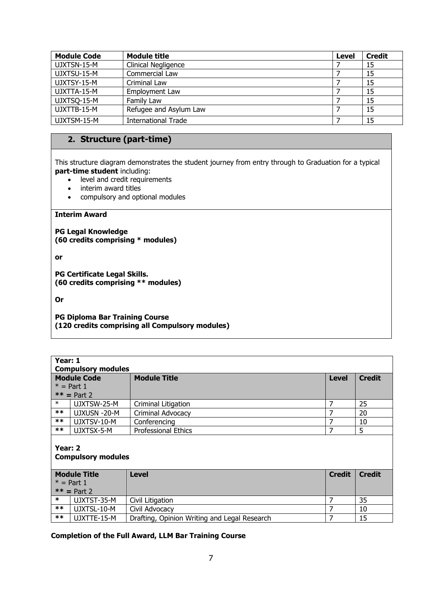| <b>Module Code</b> | Module title               | <b>Level</b> | <b>Credit</b> |
|--------------------|----------------------------|--------------|---------------|
| UJXTSN-15-M        | Clinical Negligence        |              | 15            |
| UJXTSU-15-M        | Commercial Law             |              | 15            |
| UJXTSY-15-M        | Criminal Law               |              | 15            |
| UJXTTA-15-M        | Employment Law             |              | 15            |
| UJXTSQ-15-M        | Family Law                 |              | 15            |
| UJXTTB-15-M        | Refugee and Asylum Law     |              | 15            |
| UJXTSM-15-M        | <b>International Trade</b> |              | 15            |

# **2. Structure (part-time)**

This structure diagram demonstrates the student journey from entry through to Graduation for a typical **part-time student** including:

- level and credit requirements
- interim award titles
- compulsory and optional modules

## **Interim Award**

**PG Legal Knowledge (60 credits comprising \* modules)**

**or** 

**PG Certificate Legal Skills. (60 credits comprising \*\* modules)**

**Or**

**PG Diploma Bar Training Course (120 credits comprising all Compulsory modules)**

|        | Year: 1<br><b>Compulsory modules</b> |                                              |               |               |  |  |  |  |  |  |
|--------|--------------------------------------|----------------------------------------------|---------------|---------------|--|--|--|--|--|--|
|        | <b>Module Code</b>                   | <b>Module Title</b>                          | <b>Level</b>  | <b>Credit</b> |  |  |  |  |  |  |
|        | $*$ = Part 1                         |                                              |               |               |  |  |  |  |  |  |
|        | $**$ = Part 2                        |                                              |               |               |  |  |  |  |  |  |
| $\ast$ | UJXTSW-25-M                          | Criminal Litigation                          | 7             | 25            |  |  |  |  |  |  |
| $***$  | UJXUSN -20-M                         | Criminal Advocacy                            | 7             | 20            |  |  |  |  |  |  |
| $***$  | UJXTSV-10-M                          | Conferencing                                 | 7             | 10            |  |  |  |  |  |  |
| $***$  | UJXTSX-5-M                           | <b>Professional Ethics</b>                   | 7             | 5             |  |  |  |  |  |  |
|        | Year: 2<br><b>Compulsory modules</b> |                                              |               |               |  |  |  |  |  |  |
|        | <b>Module Title</b>                  | <b>Level</b>                                 | <b>Credit</b> | <b>Credit</b> |  |  |  |  |  |  |
|        | $* = Part 1$                         |                                              |               |               |  |  |  |  |  |  |
|        | $**$ = Part 2                        |                                              |               |               |  |  |  |  |  |  |
| $\ast$ | UJXTST-35-M                          | Civil Litigation                             | 7             | 35            |  |  |  |  |  |  |
| $***$  | UJXTSL-10-M                          | Civil Advocacy                               | 7             | 10            |  |  |  |  |  |  |
| $***$  | UJXTTE-15-M                          | Drafting, Opinion Writing and Legal Research | 7             | 15            |  |  |  |  |  |  |

**Completion of the Full Award, LLM Bar Training Course**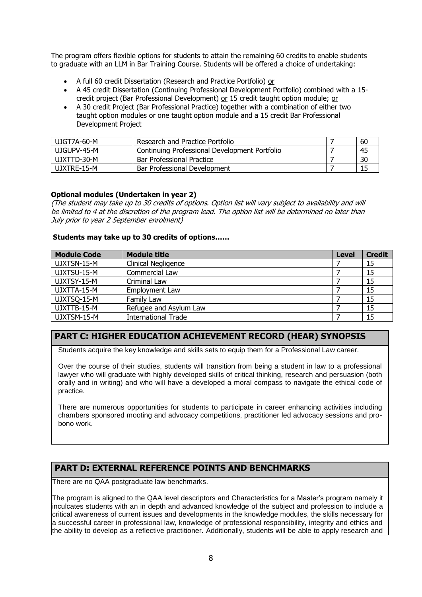The program offers flexible options for students to attain the remaining 60 credits to enable students to graduate with an LLM in Bar Training Course. Students will be offered a choice of undertaking:

- A full 60 credit Dissertation (Research and Practice Portfolio) or
- A 45 credit Dissertation (Continuing Professional Development Portfolio) combined with a 15 credit project (Bar Professional Development) or 15 credit taught option module; or
- A 30 credit Project (Bar Professional Practice) together with a combination of either two taught option modules or one taught option module and a 15 credit Bar Professional Development Project

| UJGT7A-60-M | Research and Practice Portfolio               | 60 |
|-------------|-----------------------------------------------|----|
| UJGUPV-45-M | Continuing Professional Development Portfolio | 45 |
| UJXTTD-30-M | Bar Professional Practice                     | 30 |
| UJXTRE-15-M | Bar Professional Development                  |    |

### **Optional modules (Undertaken in year 2)**

(The student may take up to 30 credits of options. Option list will vary subject to availability and will be limited to 4 at the discretion of the program lead. The option list will be determined no later than July prior to year 2 September enrolment)

### **Students may take up to 30 credits of options……**

| <b>Module Code</b> | <b>Module title</b>        | <b>Level</b> | <b>Credit</b> |
|--------------------|----------------------------|--------------|---------------|
| UJXTSN-15-M        | Clinical Negligence        |              | 15            |
| UJXTSU-15-M        | Commercial Law             |              | 15            |
| UJXTSY-15-M        | Criminal Law               |              | 15            |
| UJXTTA-15-M        | Employment Law             |              | 15            |
| UJXTSQ-15-M        | Family Law                 |              | 15            |
| UJXTTB-15-M        | Refugee and Asylum Law     |              | 15            |
| UJXTSM-15-M        | <b>International Trade</b> |              | 15            |

# **PART C: HIGHER EDUCATION ACHIEVEMENT RECORD (HEAR) SYNOPSIS**

Students acquire the key knowledge and skills sets to equip them for a Professional Law career.

Over the course of their studies, students will transition from being a student in law to a professional lawyer who will graduate with highly developed skills of critical thinking, research and persuasion (both orally and in writing) and who will have a developed a moral compass to navigate the ethical code of practice.

There are numerous opportunities for students to participate in career enhancing activities including chambers sponsored mooting and advocacy competitions, practitioner led advocacy sessions and probono work.

## **PART D: EXTERNAL REFERENCE POINTS AND BENCHMARKS**

There are no QAA postgraduate law benchmarks.

The program is aligned to the QAA level descriptors and Characteristics for a Master's program namely it inculcates students with an in depth and advanced knowledge of the subject and profession to include a critical awareness of current issues and developments in the knowledge modules, the skills necessary for a successful career in professional law, knowledge of professional responsibility, integrity and ethics and the ability to develop as a reflective practitioner. Additionally, students will be able to apply research and